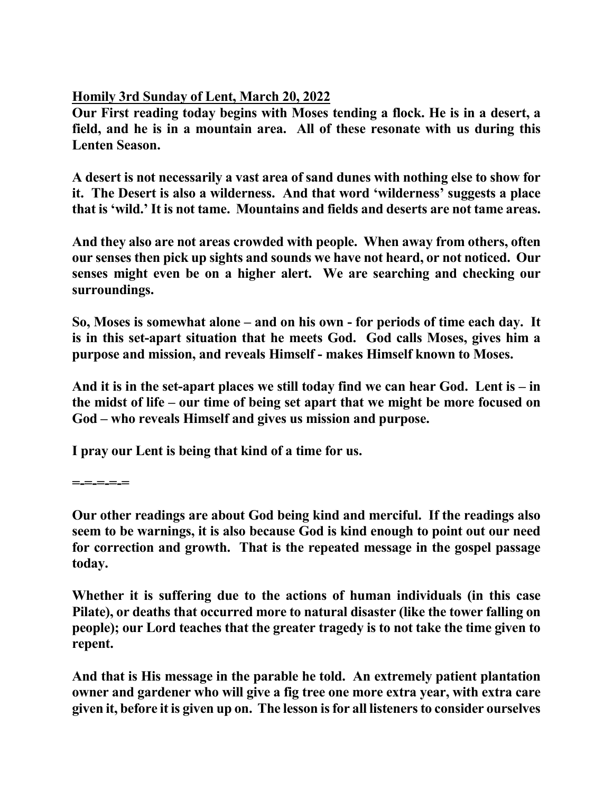**Homily 3rd Sunday of Lent, March 20, 2022**

**Our First reading today begins with Moses tending a flock. He is in a desert, a field, and he is in a mountain area. All of these resonate with us during this Lenten Season.** 

**A desert is not necessarily a vast area of sand dunes with nothing else to show for it. The Desert is also a wilderness. And that word 'wilderness' suggests a place that is 'wild.' It is not tame. Mountains and fields and deserts are not tame areas.**

**And they also are not areas crowded with people. When away from others, often our senses then pick up sights and sounds we have not heard, or not noticed. Our senses might even be on a higher alert. We are searching and checking our surroundings.**

**So, Moses is somewhat alone – and on his own - for periods of time each day. It is in this set-apart situation that he meets God. God calls Moses, gives him a purpose and mission, and reveals Himself - makes Himself known to Moses.** 

**And it is in the set-apart places we still today find we can hear God. Lent is – in the midst of life – our time of being set apart that we might be more focused on God – who reveals Himself and gives us mission and purpose.** 

**I pray our Lent is being that kind of a time for us.** 

**=-=-=-=-=** 

**Our other readings are about God being kind and merciful. If the readings also seem to be warnings, it is also because God is kind enough to point out our need for correction and growth. That is the repeated message in the gospel passage today.** 

**Whether it is suffering due to the actions of human individuals (in this case Pilate), or deaths that occurred more to natural disaster (like the tower falling on people); our Lord teaches that the greater tragedy is to not take the time given to repent.** 

**And that is His message in the parable he told. An extremely patient plantation owner and gardener who will give a fig tree one more extra year, with extra care given it, before it is given up on. The lesson is for all listeners to consider ourselves**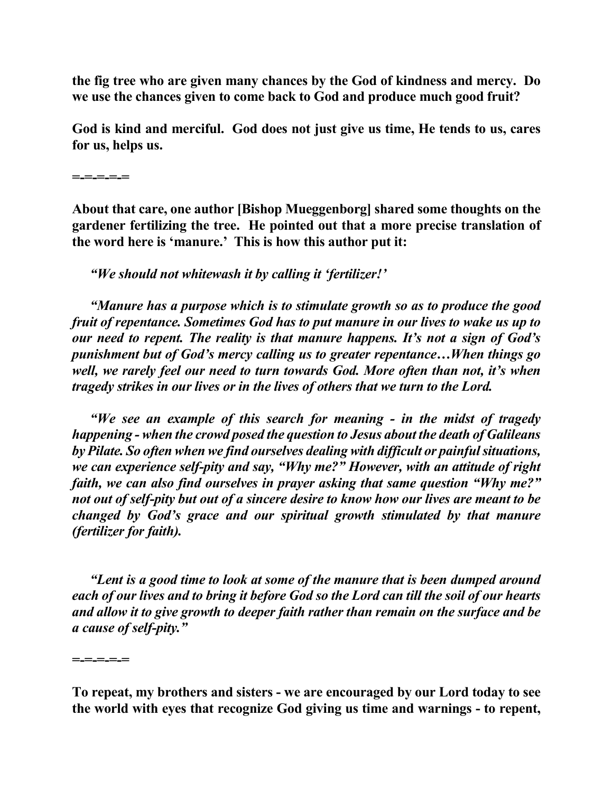**the fig tree who are given many chances by the God of kindness and mercy. Do we use the chances given to come back to God and produce much good fruit?** 

**God is kind and merciful. God does not just give us time, He tends to us, cares for us, helps us.** 

**About that care, one author [Bishop Mueggenborg] shared some thoughts on the gardener fertilizing the tree. He pointed out that a more precise translation of the word here is 'manure.' This is how this author put it:** 

*"We should not whitewash it by calling it 'fertilizer!'*

*"Manure has a purpose which is to stimulate growth so as to produce the good fruit of repentance. Sometimes God has to put manure in our lives to wake us up to our need to repent. The reality is that manure happens. It's not a sign of God's punishment but of God's mercy calling us to greater repentance…When things go well, we rarely feel our need to turn towards God. More often than not, it's when tragedy strikes in our lives or in the lives of others that we turn to the Lord.*

*"We see an example of this search for meaning - in the midst of tragedy happening - when the crowd posed the question to Jesus about the death of Galileans by Pilate. So often when we find ourselves dealing with difficult or painful situations, we can experience self-pity and say, "Why me?" However, with an attitude of right faith, we can also find ourselves in prayer asking that same question "Why me?" not out of self-pity but out of a sincere desire to know how our lives are meant to be changed by God's grace and our spiritual growth stimulated by that manure (fertilizer for faith).*

*"Lent is a good time to look at some of the manure that is been dumped around each of our lives and to bring it before God so the Lord can till the soil of our hearts and allow it to give growth to deeper faith rather than remain on the surface and be a cause of self-pity."* 

**=-=-=-=-=** 

**=-=-=-=-=** 

**To repeat, my brothers and sisters - we are encouraged by our Lord today to see the world with eyes that recognize God giving us time and warnings - to repent,**